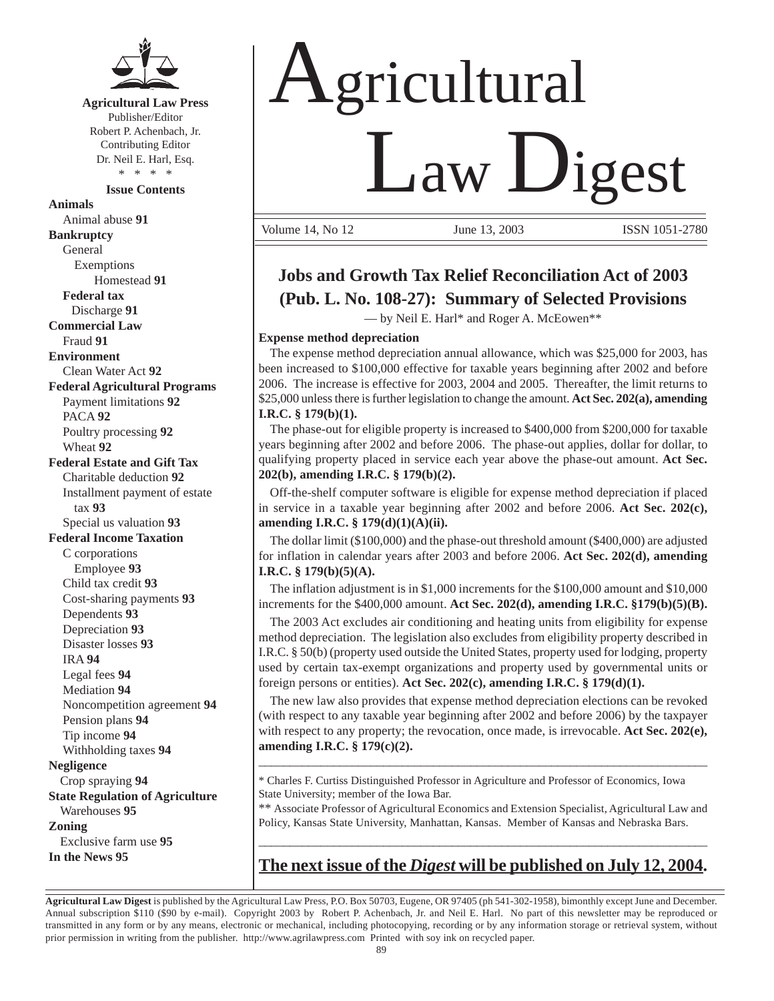

**Agricultural Law Press** Publisher/Editor

Robert P. Achenbach, Jr. Contributing Editor Dr. Neil E. Harl, Esq. \* \* \* \*

**Issue Contents**

**Animals** Animal abuse **91 Bankruptcy** General Exemptions Homestead **91 Federal tax** Discharge **91 Commercial Law** Fraud **91 Environment** Clean Water Act **92 Federal Agricultural Programs** Payment limitations **92** PACA **92** Poultry processing **92** Wheat **92 Federal Estate and Gift Tax** Charitable deduction **92** Installment payment of estate tax **93** Special us valuation **93 Federal Income Taxation** C corporations Employee **93** Child tax credit **93** Cost-sharing payments **93** Dependents **93** Depreciation **93** Disaster losses **93** IRA **94** Legal fees **94** Mediation **94** Noncompetition agreement **94** Pension plans **94** Tip income **94** Withholding taxes **94 Negligence** Crop spraying **94 State Regulation of Agriculture** Warehouses **95 Zoning** Exclusive farm use **95 In the News 95**

# **Agricultural** Law Digest

Volume 14, No 12 *June* 13, 2003 *ISSN 1051-2780* 

# **Jobs and Growth Tax Relief Reconciliation Act of 2003 (Pub. L. No. 108-27): Summary of Selected Provisions**

— by Neil E. Harl\* and Roger A. McEowen\*\*

### **Expense method depreciation**

The expense method depreciation annual allowance, which was \$25,000 for 2003, has been increased to \$100,000 effective for taxable years beginning after 2002 and before 2006. The increase is effective for 2003, 2004 and 2005. Thereafter, the limit returns to \$25,000 unless there is further legislation to change the amount. **Act Sec. 202(a), amending I.R.C. § 179(b)(1).**

The phase-out for eligible property is increased to \$400,000 from \$200,000 for taxable years beginning after 2002 and before 2006. The phase-out applies, dollar for dollar, to qualifying property placed in service each year above the phase-out amount. **Act Sec. 202(b), amending I.R.C. § 179(b)(2).**

Off-the-shelf computer software is eligible for expense method depreciation if placed in service in a taxable year beginning after 2002 and before 2006. **Act Sec. 202(c), amending I.R.C. § 179(d)(1)(A)(ii).**

The dollar limit (\$100,000) and the phase-out threshold amount (\$400,000) are adjusted for inflation in calendar years after 2003 and before 2006. **Act Sec. 202(d), amending I.R.C. § 179(b)(5)(A).**

The inflation adjustment is in \$1,000 increments for the \$100,000 amount and \$10,000 increments for the \$400,000 amount. **Act Sec. 202(d), amending I.R.C. §179(b)(5)(B).**

The 2003 Act excludes air conditioning and heating units from eligibility for expense method depreciation. The legislation also excludes from eligibility property described in I.R.C. § 50(b) (property used outside the United States, property used for lodging, property used by certain tax-exempt organizations and property used by governmental units or foreign persons or entities). **Act Sec. 202(c), amending I.R.C. § 179(d)(1).**

The new law also provides that expense method depreciation elections can be revoked (with respect to any taxable year beginning after 2002 and before 2006) by the taxpayer with respect to any property; the revocation, once made, is irrevocable. **Act Sec. 202(e), amending I.R.C. § 179(c)(2).**

 $\_$  , and the set of the set of the set of the set of the set of the set of the set of the set of the set of the set of the set of the set of the set of the set of the set of the set of the set of the set of the set of th

\* Charles F. Curtiss Distinguished Professor in Agriculture and Professor of Economics, Iowa State University; member of the Iowa Bar.

\*\* Associate Professor of Agricultural Economics and Extension Specialist, Agricultural Law and Policy, Kansas State University, Manhattan, Kansas. Member of Kansas and Nebraska Bars.

## \_\_\_\_\_\_\_\_\_\_\_\_\_\_\_\_\_\_\_\_\_\_\_\_\_\_\_\_\_\_\_\_\_\_\_\_\_\_\_\_\_\_\_\_\_\_\_\_\_\_\_\_\_\_\_\_\_\_\_\_\_\_\_\_\_\_\_\_\_\_\_\_ **The next issue of the** *Digest* **will be published on July 12, 2004.**

**Agricultural Law Digest** is published by the Agricultural Law Press, P.O. Box 50703, Eugene, OR 97405 (ph 541-302-1958), bimonthly except June and December. Annual subscription \$110 (\$90 by e-mail). Copyright 2003 by Robert P. Achenbach, Jr. and Neil E. Harl. No part of this newsletter may be reproduced or transmitted in any form or by any means, electronic or mechanical, including photocopying, recording or by any information storage or retrieval system, without prior permission in writing from the publisher. http://www.agrilawpress.com Printed with soy ink on recycled paper.